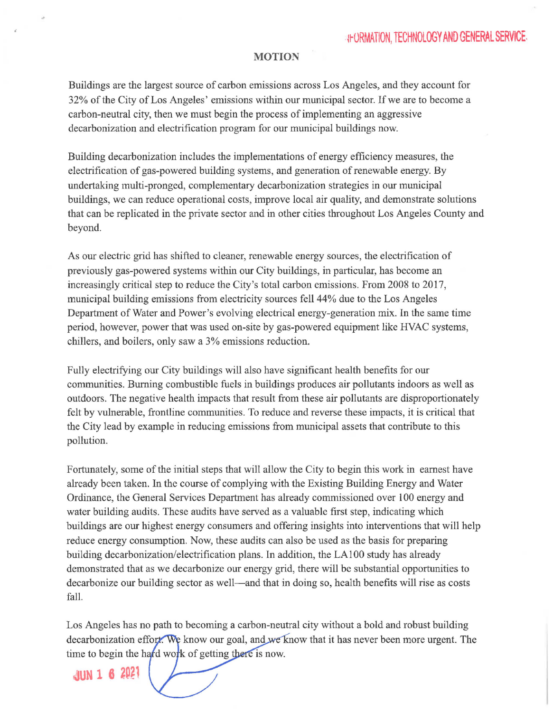## **MOTION**

Buildings are the largest source of carbon emissions across Los Angeles, and they account for 32% of the City of Los Angeles' emissions within our municipal sector. If we are to become a carbon-neutral city, then we must begin the process of implementing an aggressive decarbonization and electrification program for our municipal buildings now.

Building decarbonization includes the implementations of energy efficiency measures, the electrification of gas-powered building systems, and generation of renewable energy. By undertaking multi-pronged, complementary decarbonization strategies in our municipal buildings, we can reduce operational costs, improve local air quality, and demonstrate solutions that can be replicated in the private sector and in other cities throughout Los Angeles County and beyond.

As our electric grid has shifted to cleaner, renewable energy sources, the electrification of previously gas-powered systems within our City buildings, in particular, has become an increasingly critical step to reduce the City's total carbon emissions. From 2008 to 2017, municipal building emissions from electricity sources fell44% due to the Los Angeles Department of Water and Power's evolving electrical energy-generation mix. In the same time period, however, power that was used on-site by gas-powered equipment like HVAC systems, chillers, and boilers, only saw a 3% emissions reduction.

Fully electrifying our City buildings will also have significant health benefits for our communities. Burning combustible fuels in buildings produces air pollutants indoors as well as outdoors. The negative health impacts that result from these air pollutants are disproportionately felt by vulnerable, frontline communities. To reduce and reverse these impacts, it is critical that the City lead by example in reducing emissions from municipal assets that contribute to this pollution.

Fortunately, some of the initial steps that will allow the City to begin this work in earnest have already been taken. In the course of complying with the Existing Building Energy and Water Ordinance, the General Services Department has already commissioned over 100 energy and water building audits. These audits have served as a valuable first step, indicating which buildings are our highest energy consumers and offering insights into interventions that will help reduce energy consumption. Now, these audits can also be used as the basis for preparing building decarbonization/electrification plans. In addition, the LAIOO study has already demonstrated that as we decarbonize our energy grid, there will be substantial opportunities to decarbonize our building sector as well—and that in doing so, health benefits will rise as costs fall.

Los Angeles has no path to becoming a carbon-neutral city without a bold and robust building decarbonization effort. We know our goal, and we know that it has never been more urgent. The time to begin the hard work of getting there is now.

**4UN 1 6 2021**